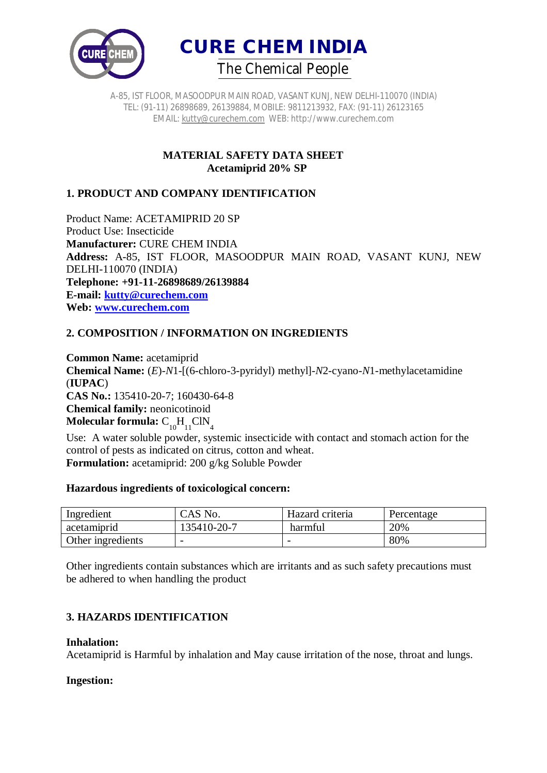



> **MATERIAL SAFETY DATA SHEET Acetamiprid 20% SP**

## **1. PRODUCT AND COMPANY IDENTIFICATION**

Product Name: ACETAMIPRID 20 SP Product Use: Insecticide **Manufacturer:** CURE CHEM INDIA **Address:** A-85, IST FLOOR, MASOODPUR MAIN ROAD, VASANT KUNJ, NEW DELHI-110070 (INDIA) **Telephone: +91-11-26898689/26139884 E-mail: kutty@curechem.com Web: www.curechem.com**

## **2. COMPOSITION / INFORMATION ON INGREDIENTS**

**Common Name:** acetamiprid **Chemical Name:** (*E*)-*N*1-[(6-chloro-3-pyridyl) methyl]-*N*2-cyano-*N*1-methylacetamidine (**IUPAC**) **CAS No.:** 135410-20-7; 160430-64-8 **Chemical family:** neonicotinoid **Molecular formula:**  $\text{C}_{10}^{}\text{H}_{11}^{}\text{CIN}_4^{}$ 

Use: A water soluble powder, systemic insecticide with contact and stomach action for the control of pests as indicated on citrus, cotton and wheat. **Formulation:** acetamiprid: 200 g/kg Soluble Powder

#### **Hazardous ingredients of toxicological concern:**

| Ingredient        | CAS No.                  | Hazard criteria | Percentage |
|-------------------|--------------------------|-----------------|------------|
| acetamiprid       | 135410-20-7              | harmful         | 20%        |
| Other ingredients | $\overline{\phantom{0}}$ |                 | 80%        |

Other ingredients contain substances which are irritants and as such safety precautions must be adhered to when handling the product

## **3. HAZARDS IDENTIFICATION**

#### **Inhalation:**

Acetamiprid is Harmful by inhalation and May cause irritation of the nose, throat and lungs.

#### **Ingestion:**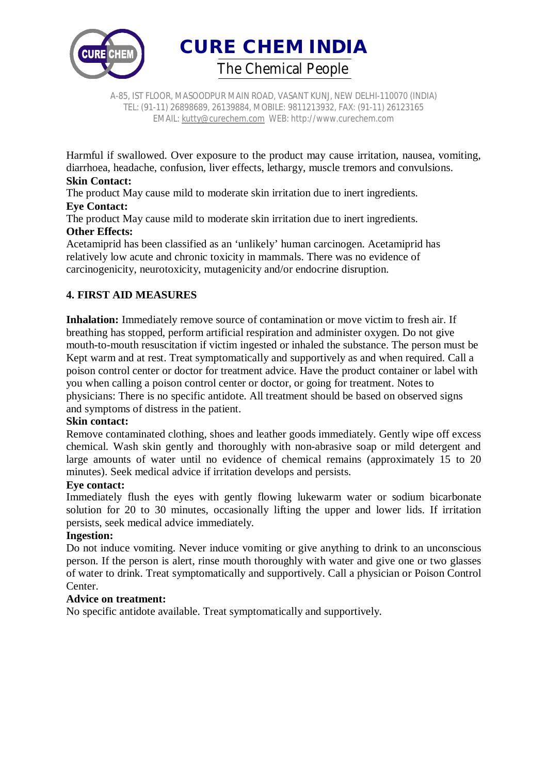

A-85, IST FLOOR, MASOODPUR MAIN ROAD, VASANT KUNJ, NEW DELHI-110070 (INDIA) TEL: (91-11) 26898689, 26139884, MOBILE: 9811213932, FAX: (91-11) 26123165 EMAIL: kutty@curechem.com WEB: http://www.curechem.com

Harmful if swallowed. Over exposure to the product may cause irritation, nausea, vomiting, diarrhoea, headache, confusion, liver effects, lethargy, muscle tremors and convulsions.

## **Skin Contact:**

The product May cause mild to moderate skin irritation due to inert ingredients.

# **Eye Contact:**

The product May cause mild to moderate skin irritation due to inert ingredients. **Other Effects:** 

Acetamiprid has been classified as an 'unlikely' human carcinogen. Acetamiprid has relatively low acute and chronic toxicity in mammals. There was no evidence of carcinogenicity, neurotoxicity, mutagenicity and/or endocrine disruption.

## **4. FIRST AID MEASURES**

**Inhalation:** Immediately remove source of contamination or move victim to fresh air. If breathing has stopped, perform artificial respiration and administer oxygen. Do not give mouth-to-mouth resuscitation if victim ingested or inhaled the substance. The person must be Kept warm and at rest. Treat symptomatically and supportively as and when required. Call a poison control center or doctor for treatment advice. Have the product container or label with you when calling a poison control center or doctor, or going for treatment. Notes to physicians: There is no specific antidote. All treatment should be based on observed signs and symptoms of distress in the patient.

#### **Skin contact:**

Remove contaminated clothing, shoes and leather goods immediately. Gently wipe off excess chemical. Wash skin gently and thoroughly with non-abrasive soap or mild detergent and large amounts of water until no evidence of chemical remains (approximately 15 to 20 minutes). Seek medical advice if irritation develops and persists.

#### **Eye contact:**

Immediately flush the eyes with gently flowing lukewarm water or sodium bicarbonate solution for 20 to 30 minutes, occasionally lifting the upper and lower lids. If irritation persists, seek medical advice immediately.

## **Ingestion:**

Do not induce vomiting. Never induce vomiting or give anything to drink to an unconscious person. If the person is alert, rinse mouth thoroughly with water and give one or two glasses of water to drink. Treat symptomatically and supportively. Call a physician or Poison Control Center.

#### **Advice on treatment:**

No specific antidote available. Treat symptomatically and supportively.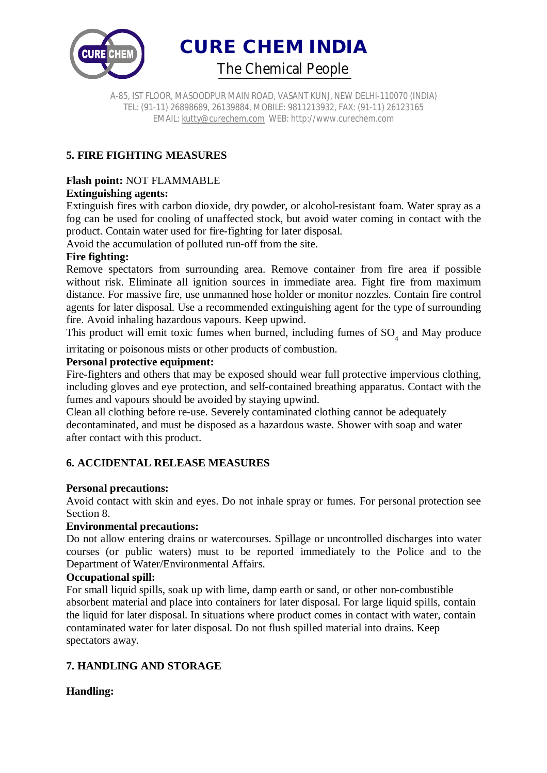

A-85, IST FLOOR, MASOODPUR MAIN ROAD, VASANT KUNJ, NEW DELHI-110070 (INDIA) TEL: (91-11) 26898689, 26139884, MOBILE: 9811213932, FAX: (91-11) 26123165 EMAIL: kutty@curechem.com WEB: http://www.curechem.com

## **5. FIRE FIGHTING MEASURES**

# **Flash point:** NOT FLAMMABLE

## **Extinguishing agents:**

Extinguish fires with carbon dioxide, dry powder, or alcohol-resistant foam. Water spray as a fog can be used for cooling of unaffected stock, but avoid water coming in contact with the product. Contain water used for fire-fighting for later disposal.

Avoid the accumulation of polluted run-off from the site.

## **Fire fighting:**

Remove spectators from surrounding area. Remove container from fire area if possible without risk. Eliminate all ignition sources in immediate area. Fight fire from maximum distance. For massive fire, use unmanned hose holder or monitor nozzles. Contain fire control agents for later disposal. Use a recommended extinguishing agent for the type of surrounding fire. Avoid inhaling hazardous vapours. Keep upwind.

This product will emit toxic fumes when burned, including fumes of  $SO<sub>4</sub>$  and May produce

irritating or poisonous mists or other products of combustion.

#### **Personal protective equipment:**

Fire-fighters and others that may be exposed should wear full protective impervious clothing, including gloves and eye protection, and self-contained breathing apparatus. Contact with the fumes and vapours should be avoided by staying upwind.

Clean all clothing before re-use. Severely contaminated clothing cannot be adequately decontaminated, and must be disposed as a hazardous waste. Shower with soap and water after contact with this product.

## **6. ACCIDENTAL RELEASE MEASURES**

## **Personal precautions:**

Avoid contact with skin and eyes. Do not inhale spray or fumes. For personal protection see Section 8.

#### **Environmental precautions:**

Do not allow entering drains or watercourses. Spillage or uncontrolled discharges into water courses (or public waters) must to be reported immediately to the Police and to the Department of Water/Environmental Affairs.

#### **Occupational spill:**

For small liquid spills, soak up with lime, damp earth or sand, or other non-combustible absorbent material and place into containers for later disposal. For large liquid spills, contain the liquid for later disposal. In situations where product comes in contact with water, contain contaminated water for later disposal. Do not flush spilled material into drains. Keep spectators away.

## **7. HANDLING AND STORAGE**

## **Handling:**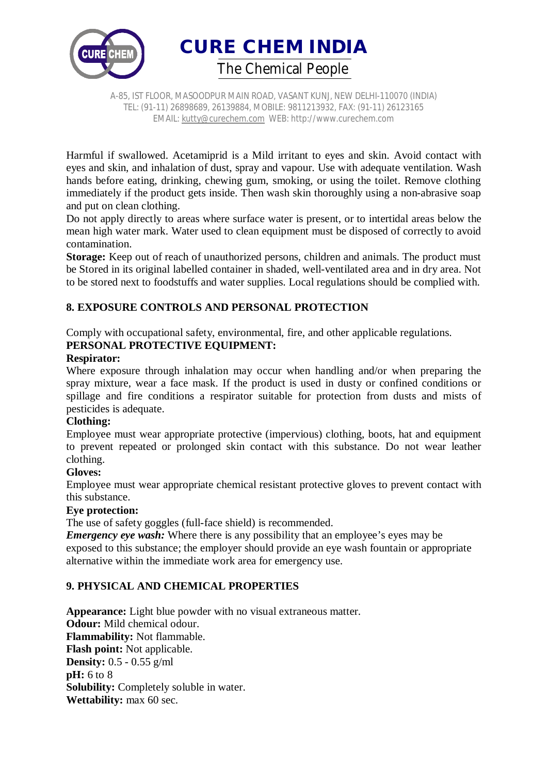

A-85, IST FLOOR, MASOODPUR MAIN ROAD, VASANT KUNJ, NEW DELHI-110070 (INDIA) TEL: (91-11) 26898689, 26139884, MOBILE: 9811213932, FAX: (91-11) 26123165 EMAIL: kutty@curechem.com WEB: http://www.curechem.com

Harmful if swallowed. Acetamiprid is a Mild irritant to eyes and skin. Avoid contact with eyes and skin, and inhalation of dust, spray and vapour. Use with adequate ventilation. Wash hands before eating, drinking, chewing gum, smoking, or using the toilet. Remove clothing immediately if the product gets inside. Then wash skin thoroughly using a non-abrasive soap and put on clean clothing.

Do not apply directly to areas where surface water is present, or to intertidal areas below the mean high water mark. Water used to clean equipment must be disposed of correctly to avoid contamination.

**Storage:** Keep out of reach of unauthorized persons, children and animals. The product must be Stored in its original labelled container in shaded, well-ventilated area and in dry area. Not to be stored next to foodstuffs and water supplies. Local regulations should be complied with.

## **8. EXPOSURE CONTROLS AND PERSONAL PROTECTION**

Comply with occupational safety, environmental, fire, and other applicable regulations. **PERSONAL PROTECTIVE EQUIPMENT:** 

#### **Respirator:**

Where exposure through inhalation may occur when handling and/or when preparing the spray mixture, wear a face mask. If the product is used in dusty or confined conditions or spillage and fire conditions a respirator suitable for protection from dusts and mists of pesticides is adequate.

## **Clothing:**

Employee must wear appropriate protective (impervious) clothing, boots, hat and equipment to prevent repeated or prolonged skin contact with this substance. Do not wear leather clothing.

## **Gloves:**

Employee must wear appropriate chemical resistant protective gloves to prevent contact with this substance.

## **Eye protection:**

The use of safety goggles (full-face shield) is recommended.

*Emergency eye wash:* Where there is any possibility that an employee's eyes may be exposed to this substance; the employer should provide an eye wash fountain or appropriate alternative within the immediate work area for emergency use.

## **9. PHYSICAL AND CHEMICAL PROPERTIES**

**Appearance:** Light blue powder with no visual extraneous matter. **Odour:** Mild chemical odour. **Flammability:** Not flammable. **Flash point:** Not applicable. **Density:** 0.5 - 0.55 g/ml **pH:** 6 to 8 **Solubility:** Completely soluble in water. **Wettability:** max 60 sec.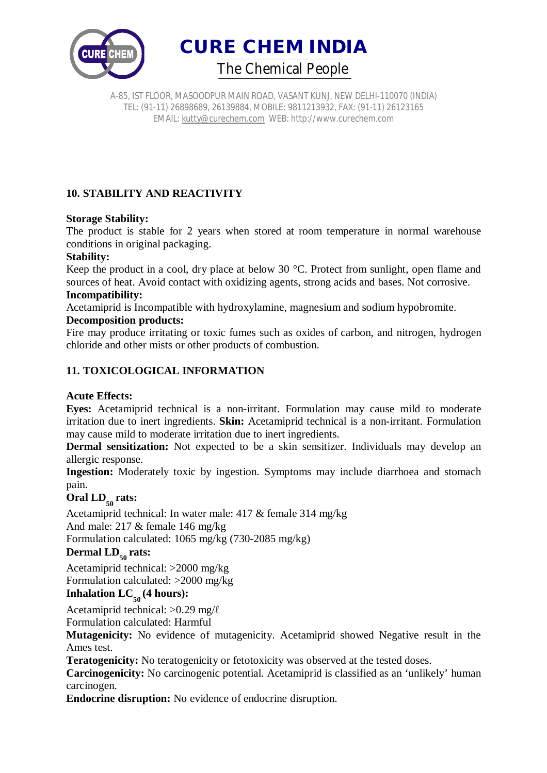



## **10. STABILITY AND REACTIVITY**

## **Storage Stability:**

The product is stable for 2 years when stored at room temperature in normal warehouse conditions in original packaging.

#### **Stability:**

Keep the product in a cool, dry place at below 30 °C. Protect from sunlight, open flame and sources of heat. Avoid contact with oxidizing agents, strong acids and bases. Not corrosive.

#### **Incompatibility:**

Acetamiprid is Incompatible with hydroxylamine, magnesium and sodium hypobromite.

#### **Decomposition products:**

Fire may produce irritating or toxic fumes such as oxides of carbon, and nitrogen, hydrogen chloride and other mists or other products of combustion.

## **11. TOXICOLOGICAL INFORMATION**

## **Acute Effects:**

**Eyes:** Acetamiprid technical is a non-irritant. Formulation may cause mild to moderate irritation due to inert ingredients. **Skin:** Acetamiprid technical is a non-irritant. Formulation may cause mild to moderate irritation due to inert ingredients.

**Dermal sensitization:** Not expected to be a skin sensitizer. Individuals may develop an allergic response.

**Ingestion:** Moderately toxic by ingestion. Symptoms may include diarrhoea and stomach pain.

# Oral LD<sub>50</sub> rats:

Acetamiprid technical: In water male: 417 & female 314 mg/kg

And male: 217 & female 146 mg/kg

Formulation calculated: 1065 mg/kg (730-2085 mg/kg)

# Dermal  $LD_{50}$  rats:

Acetamiprid technical: >2000 mg/kg

Formulation calculated: >2000 mg/kg

# $\text{Inhalation LC}_{\text{50}}(4 \text{ hours})$ :

Acetamiprid technical: >0.29 mg/ℓ

Formulation calculated: Harmful

**Mutagenicity:** No evidence of mutagenicity. Acetamiprid showed Negative result in the Ames test.

**Teratogenicity:** No teratogenicity or fetotoxicity was observed at the tested doses.

**Carcinogenicity:** No carcinogenic potential. Acetamiprid is classified as an 'unlikely' human carcinogen.

**Endocrine disruption:** No evidence of endocrine disruption.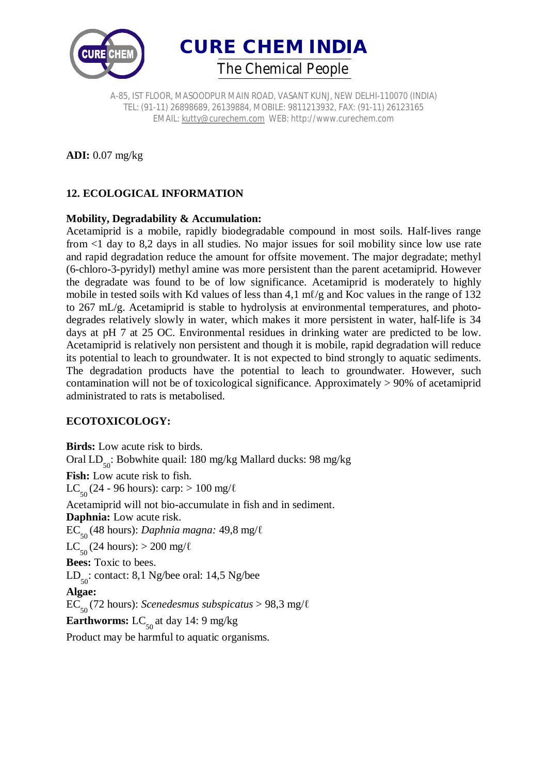



**ADI:** 0.07 mg/kg

## **12. ECOLOGICAL INFORMATION**

#### **Mobility, Degradability & Accumulation:**

Acetamiprid is a mobile, rapidly biodegradable compound in most soils. Half-lives range from <1 day to 8,2 days in all studies. No major issues for soil mobility since low use rate and rapid degradation reduce the amount for offsite movement. The major degradate; methyl (6-chloro-3-pyridyl) methyl amine was more persistent than the parent acetamiprid. However the degradate was found to be of low significance. Acetamiprid is moderately to highly mobile in tested soils with Kd values of less than 4,1 m $\ell$ /g and Koc values in the range of 132 to 267 mL/g. Acetamiprid is stable to hydrolysis at environmental temperatures, and photodegrades relatively slowly in water, which makes it more persistent in water, half-life is 34 days at pH 7 at 25 OC. Environmental residues in drinking water are predicted to be low. Acetamiprid is relatively non persistent and though it is mobile, rapid degradation will reduce its potential to leach to groundwater. It is not expected to bind strongly to aquatic sediments. The degradation products have the potential to leach to groundwater. However, such contamination will not be of toxicological significance. Approximately > 90% of acetamiprid administrated to rats is metabolised.

## **ECOTOXICOLOGY:**

**Birds:** Low acute risk to birds. Oral LD<sub>50</sub>: Bobwhite quail: 180 mg/kg Mallard ducks: 98 mg/kg Fish: Low acute risk to fish. LC<sub>50</sub> (24 - 96 hours): carp: > 100 mg/ $\ell$ Acetamiprid will not bio-accumulate in fish and in sediment. **Daphnia:** Low acute risk. EC<sup>50</sup> (48 hours): *Daphnia magna:* 49,8 mg/ℓ LC<sub>50</sub> (24 hours): > 200 mg/ $\ell$ **Bees:** Toxic to bees.  $LD_{50}$ : contact: 8,1 Ng/bee oral: 14,5 Ng/bee **Algae:**  EC<sup>50</sup> (72 hours): *Scenedesmus subspicatus* > 98,3 mg/ℓ **Earthworms:**  $LC_{50}$  at day 14: 9 mg/kg Product may be harmful to aquatic organisms.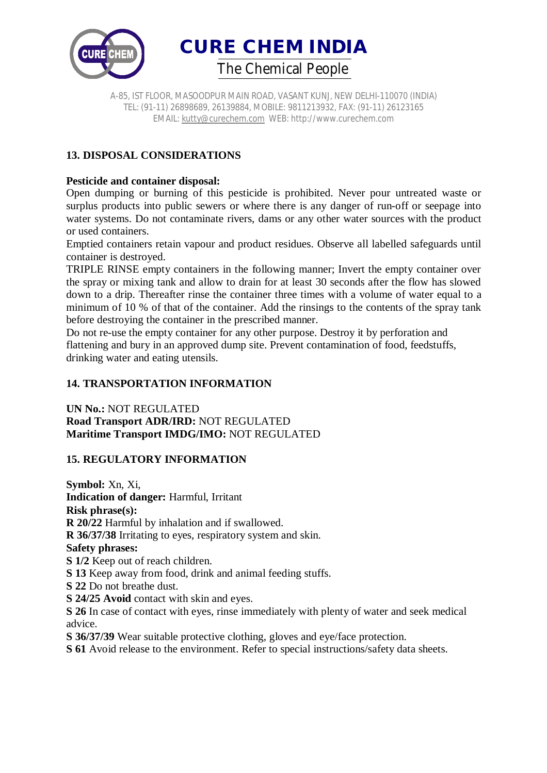

A-85, IST FLOOR, MASOODPUR MAIN ROAD, VASANT KUNJ, NEW DELHI-110070 (INDIA) TEL: (91-11) 26898689, 26139884, MOBILE: 9811213932, FAX: (91-11) 26123165 EMAIL: kutty@curechem.com WEB: http://www.curechem.com

# **13. DISPOSAL CONSIDERATIONS**

## **Pesticide and container disposal:**

Open dumping or burning of this pesticide is prohibited. Never pour untreated waste or surplus products into public sewers or where there is any danger of run-off or seepage into water systems. Do not contaminate rivers, dams or any other water sources with the product or used containers.

Emptied containers retain vapour and product residues. Observe all labelled safeguards until container is destroyed.

TRIPLE RINSE empty containers in the following manner; Invert the empty container over the spray or mixing tank and allow to drain for at least 30 seconds after the flow has slowed down to a drip. Thereafter rinse the container three times with a volume of water equal to a minimum of 10 % of that of the container. Add the rinsings to the contents of the spray tank before destroying the container in the prescribed manner.

Do not re-use the empty container for any other purpose. Destroy it by perforation and flattening and bury in an approved dump site. Prevent contamination of food, feedstuffs, drinking water and eating utensils.

## **14. TRANSPORTATION INFORMATION**

**UN No.:** NOT REGULATED **Road Transport ADR/IRD:** NOT REGULATED **Maritime Transport IMDG/IMO:** NOT REGULATED

## **15. REGULATORY INFORMATION**

**Symbol:** Xn, Xi, **Indication of danger:** Harmful, Irritant **Risk phrase(s): R 20/22** Harmful by inhalation and if swallowed. **R 36/37/38** Irritating to eyes, respiratory system and skin. **Safety phrases: S 1/2** Keep out of reach children. **S 13** Keep away from food, drink and animal feeding stuffs. **S 22** Do not breathe dust. **S 24/25 Avoid** contact with skin and eyes. **S 26** In case of contact with eyes, rinse immediately with plenty of water and seek medical advice. **S 36/37/39** Wear suitable protective clothing, gloves and eye/face protection. **S 61** Avoid release to the environment. Refer to special instructions/safety data sheets.